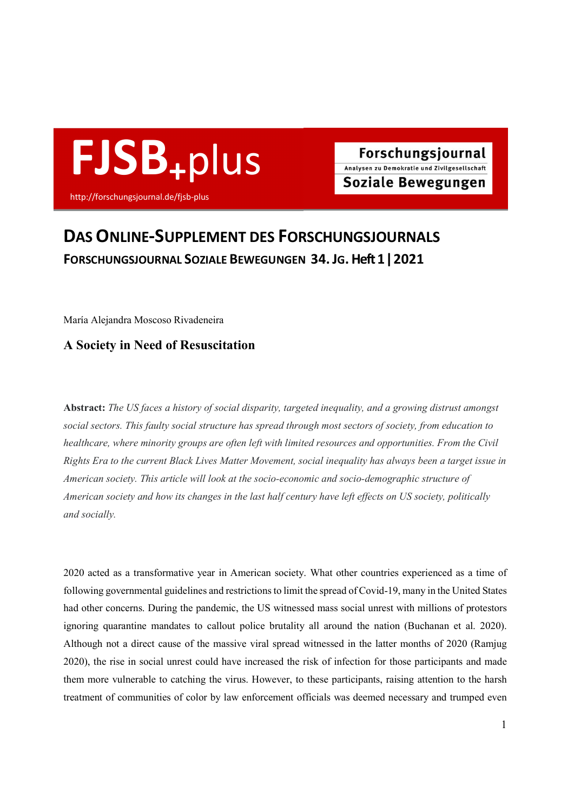

# DAS ONLINE-SUPPLEMENT DES FORSCHUNGSJOURNALS FORSCHUNGSJOURNAL SOZIALE BEWEGUNGEN 34. JG. Heft 1 ǀ 2021

María Alejandra Moscoso Rivadeneira

# A Society in Need of Resuscitation

Abstract: The US faces a history of social disparity, targeted inequality, and a growing distrust amongst social sectors. This faulty social structure has spread through most sectors of society, from education to healthcare, where minority groups are often left with limited resources and opportunities. From the Civil Rights Era to the current Black Lives Matter Movement, social inequality has always been a target issue in American society. This article will look at the socio-economic and socio-demographic structure of American society and how its changes in the last half century have left effects on US society, politically and socially.

2020 acted as a transformative year in American society. What other countries experienced as a time of following governmental guidelines and restrictions to limit the spread of Covid-19, many in the United States had other concerns. During the pandemic, the US witnessed mass social unrest with millions of protestors ignoring quarantine mandates to callout police brutality all around the nation (Buchanan et al. 2020). Although not a direct cause of the massive viral spread witnessed in the latter months of 2020 (Ramjug 2020), the rise in social unrest could have increased the risk of infection for those participants and made them more vulnerable to catching the virus. However, to these participants, raising attention to the harsh treatment of communities of color by law enforcement officials was deemed necessary and trumped even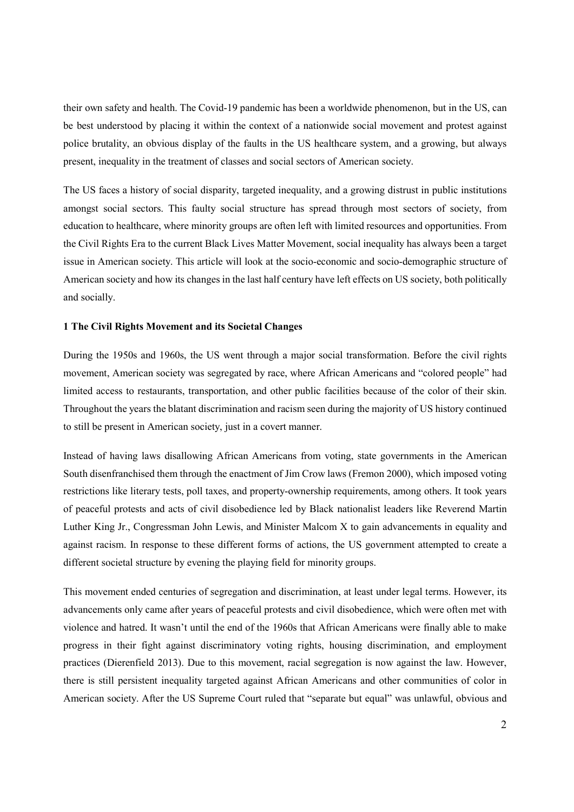their own safety and health. The Covid-19 pandemic has been a worldwide phenomenon, but in the US, can be best understood by placing it within the context of a nationwide social movement and protest against police brutality, an obvious display of the faults in the US healthcare system, and a growing, but always present, inequality in the treatment of classes and social sectors of American society.

The US faces a history of social disparity, targeted inequality, and a growing distrust in public institutions amongst social sectors. This faulty social structure has spread through most sectors of society, from education to healthcare, where minority groups are often left with limited resources and opportunities. From the Civil Rights Era to the current Black Lives Matter Movement, social inequality has always been a target issue in American society. This article will look at the socio-economic and socio-demographic structure of American society and how its changes in the last half century have left effects on US society, both politically and socially.

## 1 The Civil Rights Movement and its Societal Changes

During the 1950s and 1960s, the US went through a major social transformation. Before the civil rights movement, American society was segregated by race, where African Americans and "colored people" had limited access to restaurants, transportation, and other public facilities because of the color of their skin. Throughout the years the blatant discrimination and racism seen during the majority of US history continued to still be present in American society, just in a covert manner.

Instead of having laws disallowing African Americans from voting, state governments in the American South disenfranchised them through the enactment of Jim Crow laws (Fremon 2000), which imposed voting restrictions like literary tests, poll taxes, and property-ownership requirements, among others. It took years of peaceful protests and acts of civil disobedience led by Black nationalist leaders like Reverend Martin Luther King Jr., Congressman John Lewis, and Minister Malcom X to gain advancements in equality and against racism. In response to these different forms of actions, the US government attempted to create a different societal structure by evening the playing field for minority groups.

This movement ended centuries of segregation and discrimination, at least under legal terms. However, its advancements only came after years of peaceful protests and civil disobedience, which were often met with violence and hatred. It wasn't until the end of the 1960s that African Americans were finally able to make progress in their fight against discriminatory voting rights, housing discrimination, and employment practices (Dierenfield 2013). Due to this movement, racial segregation is now against the law. However, there is still persistent inequality targeted against African Americans and other communities of color in American society. After the US Supreme Court ruled that "separate but equal" was unlawful, obvious and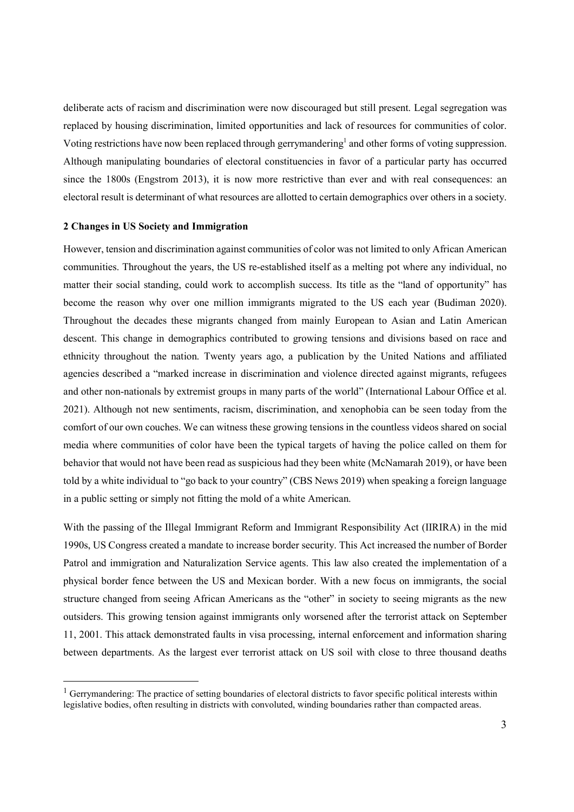deliberate acts of racism and discrimination were now discouraged but still present. Legal segregation was replaced by housing discrimination, limited opportunities and lack of resources for communities of color. Voting restrictions have now been replaced through gerrymandering<sup>1</sup> and other forms of voting suppression. Although manipulating boundaries of electoral constituencies in favor of a particular party has occurred since the 1800s (Engstrom 2013), it is now more restrictive than ever and with real consequences: an electoral result is determinant of what resources are allotted to certain demographics over others in a society.

#### 2 Changes in US Society and Immigration

 $\overline{a}$ 

However, tension and discrimination against communities of color was not limited to only African American communities. Throughout the years, the US re-established itself as a melting pot where any individual, no matter their social standing, could work to accomplish success. Its title as the "land of opportunity" has become the reason why over one million immigrants migrated to the US each year (Budiman 2020). Throughout the decades these migrants changed from mainly European to Asian and Latin American descent. This change in demographics contributed to growing tensions and divisions based on race and ethnicity throughout the nation. Twenty years ago, a publication by the United Nations and affiliated agencies described a "marked increase in discrimination and violence directed against migrants, refugees and other non-nationals by extremist groups in many parts of the world" (International Labour Office et al. 2021). Although not new sentiments, racism, discrimination, and xenophobia can be seen today from the comfort of our own couches. We can witness these growing tensions in the countless videos shared on social media where communities of color have been the typical targets of having the police called on them for behavior that would not have been read as suspicious had they been white (McNamarah 2019), or have been told by a white individual to "go back to your country" (CBS News 2019) when speaking a foreign language in a public setting or simply not fitting the mold of a white American.

With the passing of the Illegal Immigrant Reform and Immigrant Responsibility Act (IIRIRA) in the mid 1990s, US Congress created a mandate to increase border security. This Act increased the number of Border Patrol and immigration and Naturalization Service agents. This law also created the implementation of a physical border fence between the US and Mexican border. With a new focus on immigrants, the social structure changed from seeing African Americans as the "other" in society to seeing migrants as the new outsiders. This growing tension against immigrants only worsened after the terrorist attack on September 11, 2001. This attack demonstrated faults in visa processing, internal enforcement and information sharing between departments. As the largest ever terrorist attack on US soil with close to three thousand deaths

<sup>&</sup>lt;sup>1</sup> Gerrymandering: The practice of setting boundaries of electoral districts to favor specific political interests within legislative bodies, often resulting in districts with convoluted, winding boundaries rather than compacted areas.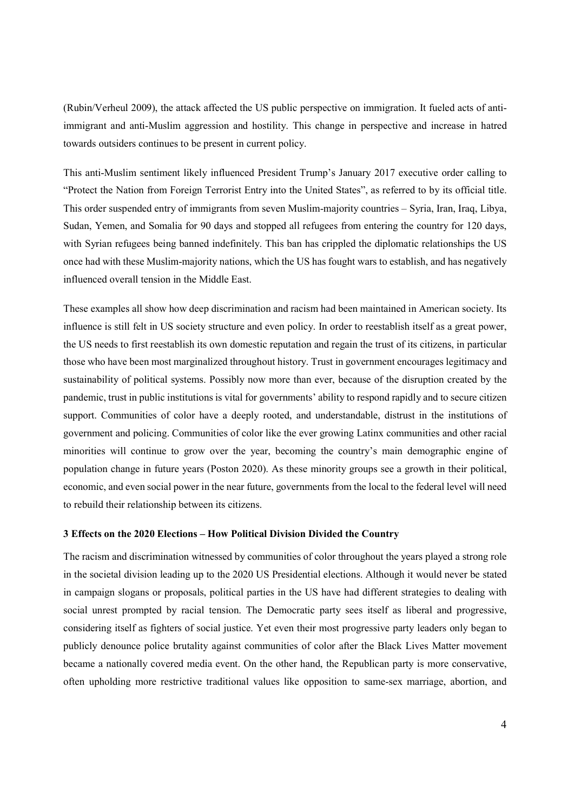(Rubin/Verheul 2009), the attack affected the US public perspective on immigration. It fueled acts of antiimmigrant and anti-Muslim aggression and hostility. This change in perspective and increase in hatred towards outsiders continues to be present in current policy.

This anti-Muslim sentiment likely influenced President Trump's January 2017 executive order calling to "Protect the Nation from Foreign Terrorist Entry into the United States", as referred to by its official title. This order suspended entry of immigrants from seven Muslim-majority countries – Syria, Iran, Iraq, Libya, Sudan, Yemen, and Somalia for 90 days and stopped all refugees from entering the country for 120 days, with Syrian refugees being banned indefinitely. This ban has crippled the diplomatic relationships the US once had with these Muslim-majority nations, which the US has fought wars to establish, and has negatively influenced overall tension in the Middle East.

These examples all show how deep discrimination and racism had been maintained in American society. Its influence is still felt in US society structure and even policy. In order to reestablish itself as a great power, the US needs to first reestablish its own domestic reputation and regain the trust of its citizens, in particular those who have been most marginalized throughout history. Trust in government encourages legitimacy and sustainability of political systems. Possibly now more than ever, because of the disruption created by the pandemic, trust in public institutions is vital for governments' ability to respond rapidly and to secure citizen support. Communities of color have a deeply rooted, and understandable, distrust in the institutions of government and policing. Communities of color like the ever growing Latinx communities and other racial minorities will continue to grow over the year, becoming the country's main demographic engine of population change in future years (Poston 2020). As these minority groups see a growth in their political, economic, and even social power in the near future, governments from the local to the federal level will need to rebuild their relationship between its citizens.

## 3 Effects on the 2020 Elections – How Political Division Divided the Country

The racism and discrimination witnessed by communities of color throughout the years played a strong role in the societal division leading up to the 2020 US Presidential elections. Although it would never be stated in campaign slogans or proposals, political parties in the US have had different strategies to dealing with social unrest prompted by racial tension. The Democratic party sees itself as liberal and progressive, considering itself as fighters of social justice. Yet even their most progressive party leaders only began to publicly denounce police brutality against communities of color after the Black Lives Matter movement became a nationally covered media event. On the other hand, the Republican party is more conservative, often upholding more restrictive traditional values like opposition to same-sex marriage, abortion, and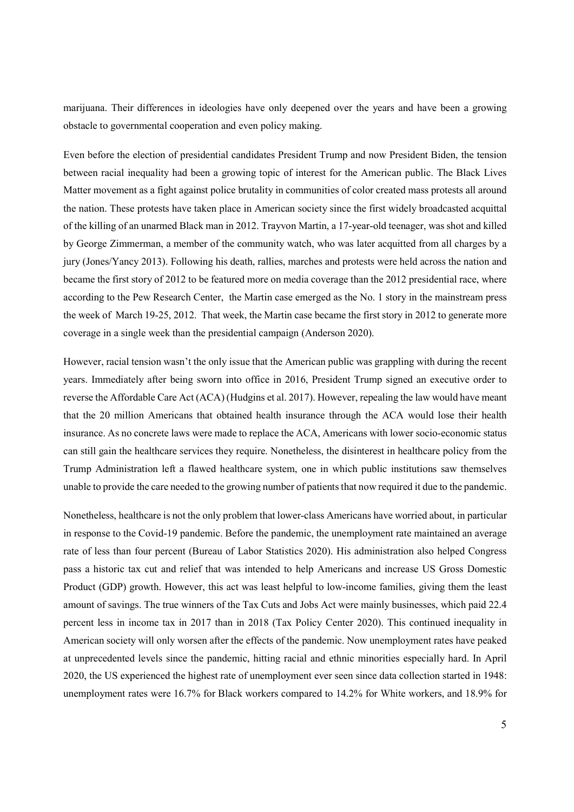marijuana. Their differences in ideologies have only deepened over the years and have been a growing obstacle to governmental cooperation and even policy making.

Even before the election of presidential candidates President Trump and now President Biden, the tension between racial inequality had been a growing topic of interest for the American public. The Black Lives Matter movement as a fight against police brutality in communities of color created mass protests all around the nation. These protests have taken place in American society since the first widely broadcasted acquittal of the killing of an unarmed Black man in 2012. Trayvon Martin, a 17-year-old teenager, was shot and killed by George Zimmerman, a member of the community watch, who was later acquitted from all charges by a jury (Jones/Yancy 2013). Following his death, rallies, marches and protests were held across the nation and became the first story of 2012 to be featured more on media coverage than the 2012 presidential race, where according to the Pew Research Center, the Martin case emerged as the No. 1 story in the mainstream press the week of March 19-25, 2012. That week, the Martin case became the first story in 2012 to generate more coverage in a single week than the presidential campaign (Anderson 2020).

However, racial tension wasn't the only issue that the American public was grappling with during the recent years. Immediately after being sworn into office in 2016, President Trump signed an executive order to reverse the Affordable Care Act (ACA) (Hudgins et al. 2017). However, repealing the law would have meant that the 20 million Americans that obtained health insurance through the ACA would lose their health insurance. As no concrete laws were made to replace the ACA, Americans with lower socio-economic status can still gain the healthcare services they require. Nonetheless, the disinterest in healthcare policy from the Trump Administration left a flawed healthcare system, one in which public institutions saw themselves unable to provide the care needed to the growing number of patients that now required it due to the pandemic.

Nonetheless, healthcare is not the only problem that lower-class Americans have worried about, in particular in response to the Covid-19 pandemic. Before the pandemic, the unemployment rate maintained an average rate of less than four percent (Bureau of Labor Statistics 2020). His administration also helped Congress pass a historic tax cut and relief that was intended to help Americans and increase US Gross Domestic Product (GDP) growth. However, this act was least helpful to low-income families, giving them the least amount of savings. The true winners of the Tax Cuts and Jobs Act were mainly businesses, which paid 22.4 percent less in income tax in 2017 than in 2018 (Tax Policy Center 2020). This continued inequality in American society will only worsen after the effects of the pandemic. Now unemployment rates have peaked at unprecedented levels since the pandemic, hitting racial and ethnic minorities especially hard. In April 2020, the US experienced the highest rate of unemployment ever seen since data collection started in 1948: unemployment rates were 16.7% for Black workers compared to 14.2% for White workers, and 18.9% for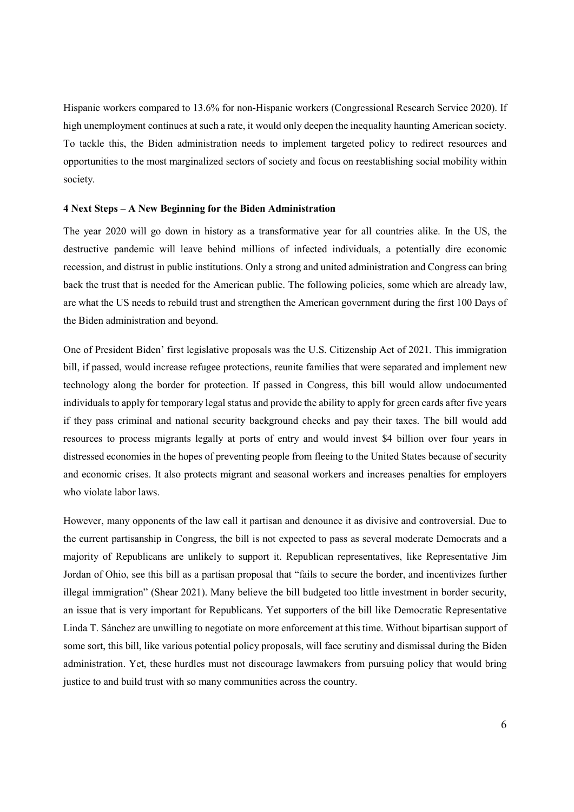Hispanic workers compared to 13.6% for non-Hispanic workers (Congressional Research Service 2020). If high unemployment continues at such a rate, it would only deepen the inequality haunting American society. To tackle this, the Biden administration needs to implement targeted policy to redirect resources and opportunities to the most marginalized sectors of society and focus on reestablishing social mobility within society.

#### 4 Next Steps – A New Beginning for the Biden Administration

The year 2020 will go down in history as a transformative year for all countries alike. In the US, the destructive pandemic will leave behind millions of infected individuals, a potentially dire economic recession, and distrust in public institutions. Only a strong and united administration and Congress can bring back the trust that is needed for the American public. The following policies, some which are already law, are what the US needs to rebuild trust and strengthen the American government during the first 100 Days of the Biden administration and beyond.

One of President Biden' first legislative proposals was the U.S. Citizenship Act of 2021. This immigration bill, if passed, would increase refugee protections, reunite families that were separated and implement new technology along the border for protection. If passed in Congress, this bill would allow undocumented individuals to apply for temporary legal status and provide the ability to apply for green cards after five years if they pass criminal and national security background checks and pay their taxes. The bill would add resources to process migrants legally at ports of entry and would invest \$4 billion over four years in distressed economies in the hopes of preventing people from fleeing to the United States because of security and economic crises. It also protects migrant and seasonal workers and increases penalties for employers who violate labor laws.

However, many opponents of the law call it partisan and denounce it as divisive and controversial. Due to the current partisanship in Congress, the bill is not expected to pass as several moderate Democrats and a majority of Republicans are unlikely to support it. Republican representatives, like Representative Jim Jordan of Ohio, see this bill as a partisan proposal that "fails to secure the border, and incentivizes further illegal immigration" (Shear 2021). Many believe the bill budgeted too little investment in border security, an issue that is very important for Republicans. Yet supporters of the bill like Democratic Representative Linda T. Sánchez are unwilling to negotiate on more enforcement at this time. Without bipartisan support of some sort, this bill, like various potential policy proposals, will face scrutiny and dismissal during the Biden administration. Yet, these hurdles must not discourage lawmakers from pursuing policy that would bring justice to and build trust with so many communities across the country.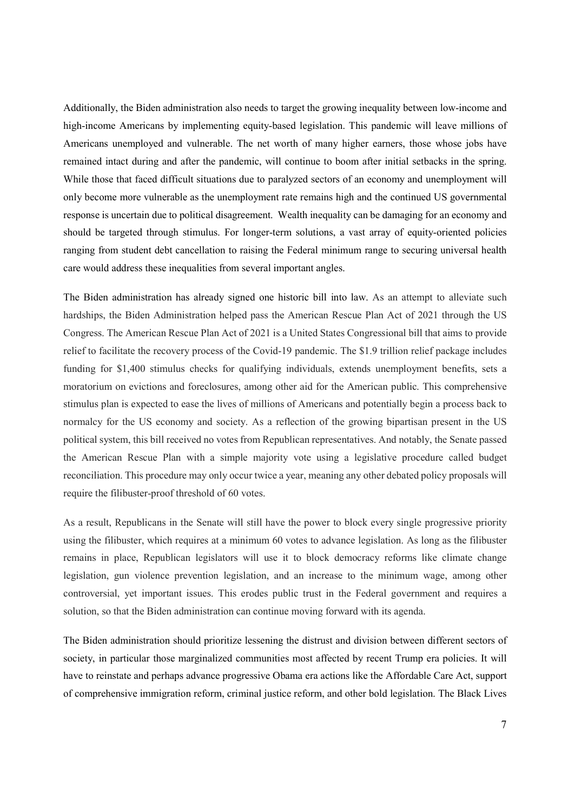Additionally, the Biden administration also needs to target the growing inequality between low-income and high-income Americans by implementing equity-based legislation. This pandemic will leave millions of Americans unemployed and vulnerable. The net worth of many higher earners, those whose jobs have remained intact during and after the pandemic, will continue to boom after initial setbacks in the spring. While those that faced difficult situations due to paralyzed sectors of an economy and unemployment will only become more vulnerable as the unemployment rate remains high and the continued US governmental response is uncertain due to political disagreement. Wealth inequality can be damaging for an economy and should be targeted through stimulus. For longer-term solutions, a vast array of equity-oriented policies ranging from student debt cancellation to raising the Federal minimum range to securing universal health care would address these inequalities from several important angles.

The Biden administration has already signed one historic bill into law. As an attempt to alleviate such hardships, the Biden Administration helped pass the American Rescue Plan Act of 2021 through the US Congress. The American Rescue Plan Act of 2021 is a United States Congressional bill that aims to provide relief to facilitate the recovery process of the Covid-19 pandemic. The \$1.9 trillion relief package includes funding for \$1,400 stimulus checks for qualifying individuals, extends unemployment benefits, sets a moratorium on evictions and foreclosures, among other aid for the American public. This comprehensive stimulus plan is expected to ease the lives of millions of Americans and potentially begin a process back to normalcy for the US economy and society. As a reflection of the growing bipartisan present in the US political system, this bill received no votes from Republican representatives. And notably, the Senate passed the American Rescue Plan with a simple majority vote using a legislative procedure called budget reconciliation. This procedure may only occur twice a year, meaning any other debated policy proposals will require the filibuster-proof threshold of 60 votes.

As a result, Republicans in the Senate will still have the power to block every single progressive priority using the filibuster, which requires at a minimum 60 votes to advance legislation. As long as the filibuster remains in place, Republican legislators will use it to block democracy reforms like climate change legislation, gun violence prevention legislation, and an increase to the minimum wage, among other controversial, yet important issues. This erodes public trust in the Federal government and requires a solution, so that the Biden administration can continue moving forward with its agenda.

The Biden administration should prioritize lessening the distrust and division between different sectors of society, in particular those marginalized communities most affected by recent Trump era policies. It will have to reinstate and perhaps advance progressive Obama era actions like the Affordable Care Act, support of comprehensive immigration reform, criminal justice reform, and other bold legislation. The Black Lives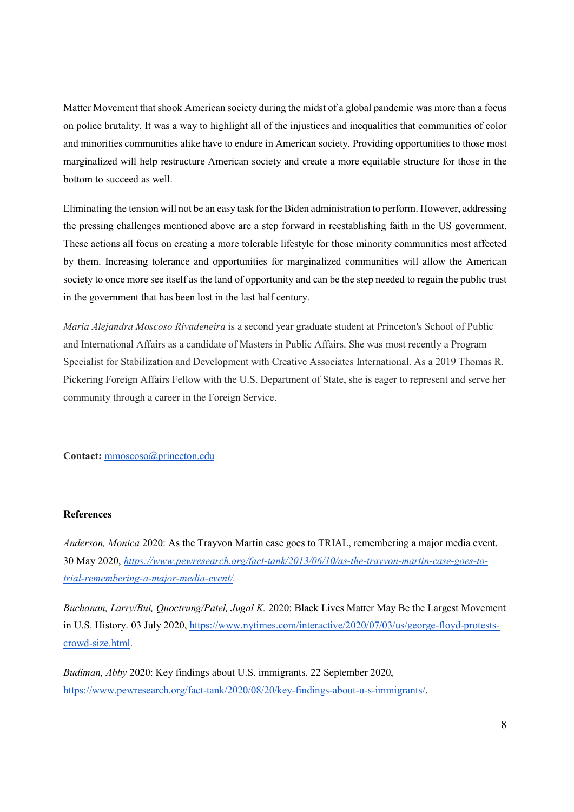Matter Movement that shook American society during the midst of a global pandemic was more than a focus on police brutality. It was a way to highlight all of the injustices and inequalities that communities of color and minorities communities alike have to endure in American society. Providing opportunities to those most marginalized will help restructure American society and create a more equitable structure for those in the bottom to succeed as well.

Eliminating the tension will not be an easy task for the Biden administration to perform. However, addressing the pressing challenges mentioned above are a step forward in reestablishing faith in the US government. These actions all focus on creating a more tolerable lifestyle for those minority communities most affected by them. Increasing tolerance and opportunities for marginalized communities will allow the American society to once more see itself as the land of opportunity and can be the step needed to regain the public trust in the government that has been lost in the last half century.

Maria Alejandra Moscoso Rivadeneira is a second year graduate student at Princeton's School of Public and International Affairs as a candidate of Masters in Public Affairs. She was most recently a Program Specialist for Stabilization and Development with Creative Associates International. As a 2019 Thomas R. Pickering Foreign Affairs Fellow with the U.S. Department of State, she is eager to represent and serve her community through a career in the Foreign Service.

Contact: mmoscoso@princeton.edu

#### References

Anderson, Monica 2020: As the Trayvon Martin case goes to TRIAL, remembering a major media event. 30 May 2020, https://www.pewresearch.org/fact-tank/2013/06/10/as-the-trayvon-martin-case-goes-totrial-remembering-a-major-media-event/.

Buchanan, Larry/Bui, Quoctrung/Patel, Jugal K. 2020: Black Lives Matter May Be the Largest Movement in U.S. History. 03 July 2020, https://www.nytimes.com/interactive/2020/07/03/us/george-floyd-protestscrowd-size.html.

Budiman, Abby 2020: Key findings about U.S. immigrants. 22 September 2020, https://www.pewresearch.org/fact-tank/2020/08/20/key-findings-about-u-s-immigrants/.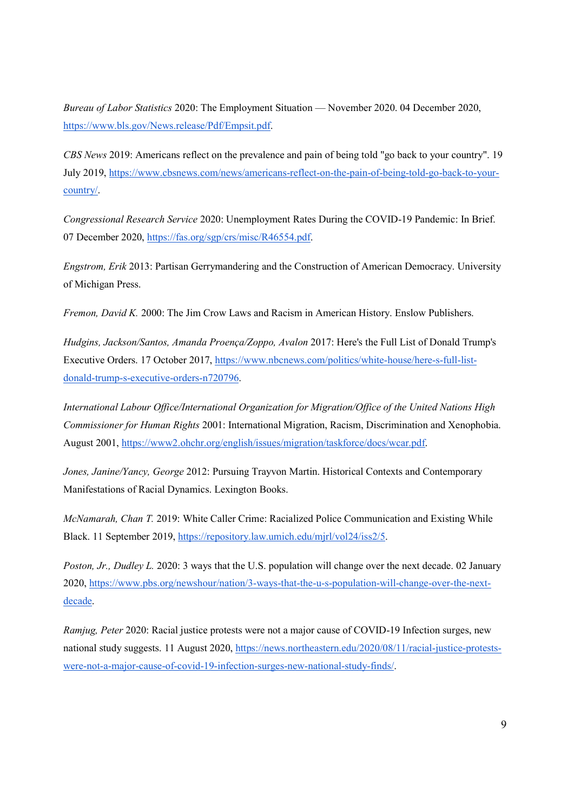Bureau of Labor Statistics 2020: The Employment Situation — November 2020. 04 December 2020, https://www.bls.gov/News.release/Pdf/Empsit.pdf.

CBS News 2019: Americans reflect on the prevalence and pain of being told "go back to your country". 19 July 2019, https://www.cbsnews.com/news/americans-reflect-on-the-pain-of-being-told-go-back-to-yourcountry/.

Congressional Research Service 2020: Unemployment Rates During the COVID-19 Pandemic: In Brief. 07 December 2020, https://fas.org/sgp/crs/misc/R46554.pdf.

Engstrom, Erik 2013: Partisan Gerrymandering and the Construction of American Democracy. University of Michigan Press.

Fremon, David K. 2000: The Jim Crow Laws and Racism in American History. Enslow Publishers.

Hudgins, Jackson/Santos, Amanda Proença/Zoppo, Avalon 2017: Here's the Full List of Donald Trump's Executive Orders. 17 October 2017, https://www.nbcnews.com/politics/white-house/here-s-full-listdonald-trump-s-executive-orders-n720796.

International Labour Office/International Organization for Migration/Office of the United Nations High Commissioner for Human Rights 2001: International Migration, Racism, Discrimination and Xenophobia. August 2001, https://www2.ohchr.org/english/issues/migration/taskforce/docs/wcar.pdf.

Jones, Janine/Yancy, George 2012: Pursuing Trayvon Martin. Historical Contexts and Contemporary Manifestations of Racial Dynamics. Lexington Books.

McNamarah, Chan T. 2019: White Caller Crime: Racialized Police Communication and Existing While Black. 11 September 2019, https://repository.law.umich.edu/mjrl/vol24/iss2/5.

Poston, Jr., Dudley L. 2020: 3 ways that the U.S. population will change over the next decade. 02 January 2020, https://www.pbs.org/newshour/nation/3-ways-that-the-u-s-population-will-change-over-the-nextdecade.

Ramjug, Peter 2020: Racial justice protests were not a major cause of COVID-19 Infection surges, new national study suggests. 11 August 2020, https://news.northeastern.edu/2020/08/11/racial-justice-protestswere-not-a-major-cause-of-covid-19-infection-surges-new-national-study-finds/.